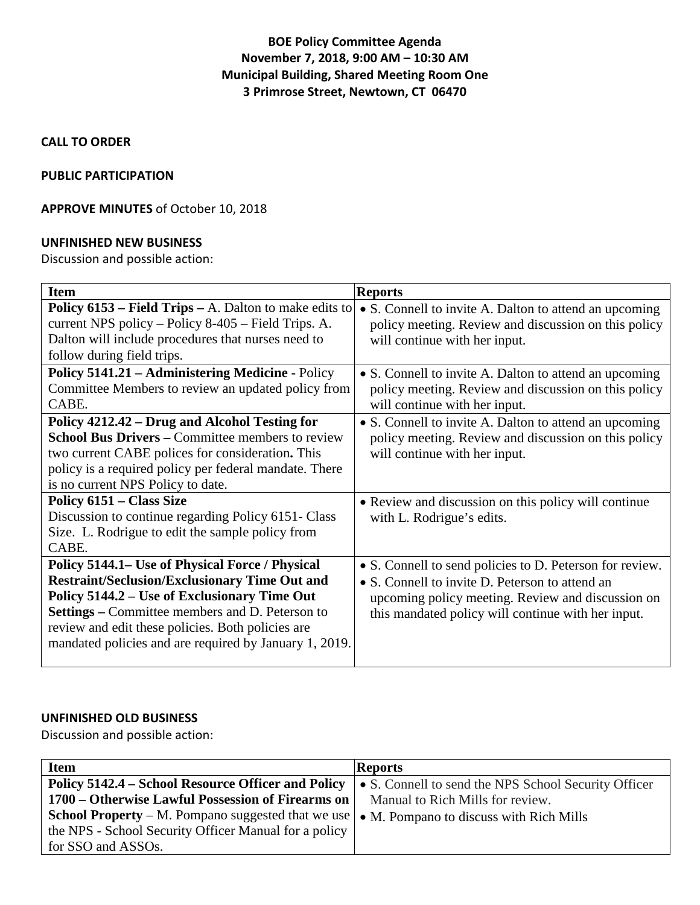# **BOE Policy Committee Agenda November 7, 2018, 9:00 AM – 10:30 AM Municipal Building, Shared Meeting Room One 3 Primrose Street, Newtown, CT 06470**

### **CALL TO ORDER**

#### **PUBLIC PARTICIPATION**

## **APPROVE MINUTES** of October 10, 2018

#### **UNFINISHED NEW BUSINESS**

Discussion and possible action:

| <b>Item</b>                                                   | <b>Reports</b>                                           |
|---------------------------------------------------------------|----------------------------------------------------------|
| <b>Policy 6153 – Field Trips – A. Dalton to make edits to</b> | • S. Connell to invite A. Dalton to attend an upcoming   |
| current NPS policy – Policy 8-405 – Field Trips. A.           | policy meeting. Review and discussion on this policy     |
| Dalton will include procedures that nurses need to            | will continue with her input.                            |
| follow during field trips.                                    |                                                          |
| Policy 5141.21 - Administering Medicine - Policy              | • S. Connell to invite A. Dalton to attend an upcoming   |
| Committee Members to review an updated policy from            | policy meeting. Review and discussion on this policy     |
| CABE.                                                         | will continue with her input.                            |
| Policy 4212.42 – Drug and Alcohol Testing for                 | • S. Connell to invite A. Dalton to attend an upcoming   |
| <b>School Bus Drivers – Committee members to review</b>       | policy meeting. Review and discussion on this policy     |
| two current CABE polices for consideration. This              | will continue with her input.                            |
| policy is a required policy per federal mandate. There        |                                                          |
| is no current NPS Policy to date.                             |                                                          |
| Policy 6151 – Class Size                                      | • Review and discussion on this policy will continue     |
| Discussion to continue regarding Policy 6151- Class           | with L. Rodrigue's edits.                                |
| Size. L. Rodrigue to edit the sample policy from              |                                                          |
| CABE.                                                         |                                                          |
| Policy 5144.1– Use of Physical Force / Physical               | • S. Connell to send policies to D. Peterson for review. |
| <b>Restraint/Seclusion/Exclusionary Time Out and</b>          | • S. Connell to invite D. Peterson to attend an          |
| Policy 5144.2 – Use of Exclusionary Time Out                  | upcoming policy meeting. Review and discussion on        |
| <b>Settings</b> – Committee members and D. Peterson to        | this mandated policy will continue with her input.       |
| review and edit these policies. Both policies are             |                                                          |
| mandated policies and are required by January 1, 2019.        |                                                          |
|                                                               |                                                          |

## **UNFINISHED OLD BUSINESS**

Discussion and possible action:

| <b>Item</b>                                               | <b>Reports</b>                                       |
|-----------------------------------------------------------|------------------------------------------------------|
| Policy 5142.4 – School Resource Officer and Policy        | • S. Connell to send the NPS School Security Officer |
| 1700 – Otherwise Lawful Possession of Firearms on         | Manual to Rich Mills for review.                     |
| <b>School Property</b> – M. Pompano suggested that we use | • M. Pompano to discuss with Rich Mills              |
| the NPS - School Security Officer Manual for a policy     |                                                      |
| for SSO and ASSOs.                                        |                                                      |